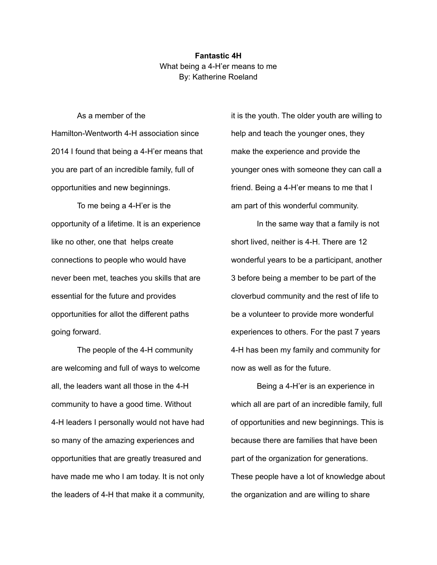**Fantastic 4H** What being a 4-H'er means to me By: Katherine Roeland

As a member of the

Hamilton-Wentworth 4-H association since 2014 I found that being a 4-H'er means that you are part of an incredible family, full of opportunities and new beginnings.

To me being a 4-H'er is the opportunity of a lifetime. It is an experience like no other, one that helps create connections to people who would have never been met, teaches you skills that are essential for the future and provides opportunities for allot the different paths going forward.

The people of the 4-H community are welcoming and full of ways to welcome all, the leaders want all those in the 4-H community to have a good time. Without 4-H leaders I personally would not have had so many of the amazing experiences and opportunities that are greatly treasured and have made me who I am today. It is not only the leaders of 4-H that make it a community,

it is the youth. The older youth are willing to help and teach the younger ones, they make the experience and provide the younger ones with someone they can call a friend. Being a 4-H'er means to me that I am part of this wonderful community.

In the same way that a family is not short lived, neither is 4-H. There are 12 wonderful years to be a participant, another 3 before being a member to be part of the cloverbud community and the rest of life to be a volunteer to provide more wonderful experiences to others. For the past 7 years 4-H has been my family and community for now as well as for the future.

Being a 4-H'er is an experience in which all are part of an incredible family, full of opportunities and new beginnings. This is because there are families that have been part of the organization for generations. These people have a lot of knowledge about the organization and are willing to share